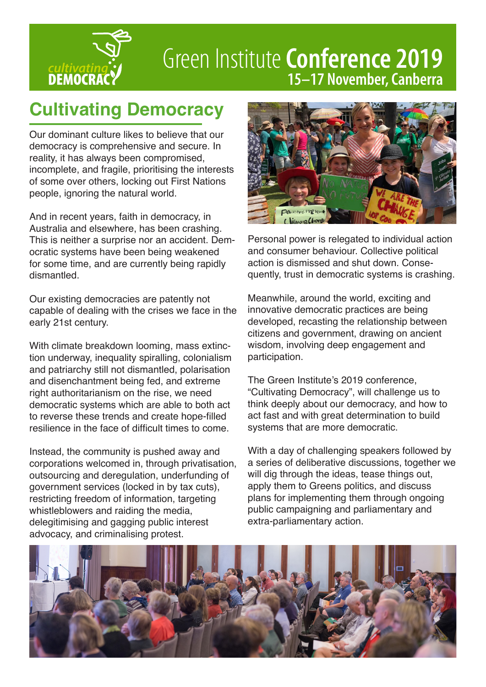

# Green Institute **Conference 2019** *cultivating* 15-17 November, Canberra

## **Cultivating Democracy**

Our dominant culture likes to believe that our democracy is comprehensive and secure. In reality, it has always been compromised, incomplete, and fragile, prioritising the interests of some over others, locking out First Nations people, ignoring the natural world.

And in recent years, faith in democracy, in Australia and elsewhere, has been crashing. This is neither a surprise nor an accident. Democratic systems have been being weakened for some time, and are currently being rapidly dismantled.

Our existing democracies are patently not capable of dealing with the crises we face in the early 21st century.

With climate breakdown looming, mass extinction underway, inequality spiralling, colonialism and patriarchy still not dismantled, polarisation and disenchantment being fed, and extreme right authoritarianism on the rise, we need democratic systems which are able to both act to reverse these trends and create hope-filled resilience in the face of difficult times to come.

Instead, the community is pushed away and corporations welcomed in, through privatisation, outsourcing and deregulation, underfunding of government services (locked in by tax cuts), restricting freedom of information, targeting whistleblowers and raiding the media, delegitimising and gagging public interest advocacy, and criminalising protest.



Personal power is relegated to individual action and consumer behaviour. Collective political action is dismissed and shut down. Consequently, trust in democratic systems is crashing.

Meanwhile, around the world, exciting and innovative democratic practices are being developed, recasting the relationship between citizens and government, drawing on ancient wisdom, involving deep engagement and participation.

The Green Institute's 2019 conference, "Cultivating Democracy", will challenge us to think deeply about our democracy, and how to act fast and with great determination to build systems that are more democratic.

With a day of challenging speakers followed by a series of deliberative discussions, together we will dig through the ideas, tease things out, apply them to Greens politics, and discuss plans for implementing them through ongoing public campaigning and parliamentary and extra-parliamentary action.